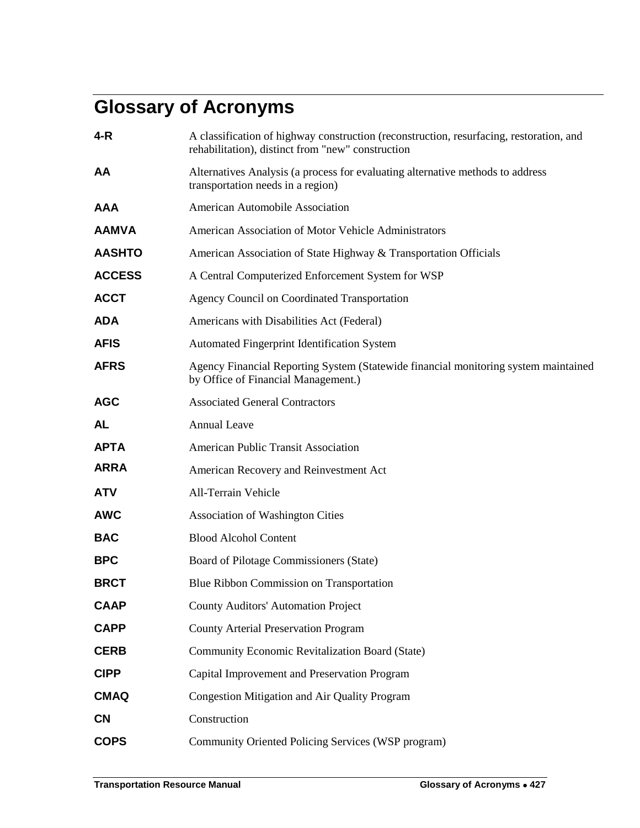## **Glossary of Acronyms**

| 4-R           | A classification of highway construction (reconstruction, resurfacing, restoration, and<br>rehabilitation), distinct from "new" construction |
|---------------|----------------------------------------------------------------------------------------------------------------------------------------------|
| AA            | Alternatives Analysis (a process for evaluating alternative methods to address<br>transportation needs in a region)                          |
| AAA           | American Automobile Association                                                                                                              |
| <b>AAMVA</b>  | American Association of Motor Vehicle Administrators                                                                                         |
| <b>AASHTO</b> | American Association of State Highway & Transportation Officials                                                                             |
| <b>ACCESS</b> | A Central Computerized Enforcement System for WSP                                                                                            |
| <b>ACCT</b>   | <b>Agency Council on Coordinated Transportation</b>                                                                                          |
| <b>ADA</b>    | Americans with Disabilities Act (Federal)                                                                                                    |
| <b>AFIS</b>   | <b>Automated Fingerprint Identification System</b>                                                                                           |
| <b>AFRS</b>   | Agency Financial Reporting System (Statewide financial monitoring system maintained<br>by Office of Financial Management.)                   |
| <b>AGC</b>    | <b>Associated General Contractors</b>                                                                                                        |
| AL            | <b>Annual Leave</b>                                                                                                                          |
| ΑΡΤΑ          | <b>American Public Transit Association</b>                                                                                                   |
| <b>ARRA</b>   | American Recovery and Reinvestment Act                                                                                                       |
| <b>ATV</b>    | All-Terrain Vehicle                                                                                                                          |
| <b>AWC</b>    | <b>Association of Washington Cities</b>                                                                                                      |
| <b>BAC</b>    | <b>Blood Alcohol Content</b>                                                                                                                 |
| <b>BPC</b>    | Board of Pilotage Commissioners (State)                                                                                                      |
| <b>BRCT</b>   | Blue Ribbon Commission on Transportation                                                                                                     |
| <b>CAAP</b>   | County Auditors' Automation Project                                                                                                          |
| <b>CAPP</b>   | <b>County Arterial Preservation Program</b>                                                                                                  |
| <b>CERB</b>   | Community Economic Revitalization Board (State)                                                                                              |
| <b>CIPP</b>   | Capital Improvement and Preservation Program                                                                                                 |
| <b>CMAQ</b>   | Congestion Mitigation and Air Quality Program                                                                                                |
| <b>CN</b>     | Construction                                                                                                                                 |
| <b>COPS</b>   | Community Oriented Policing Services (WSP program)                                                                                           |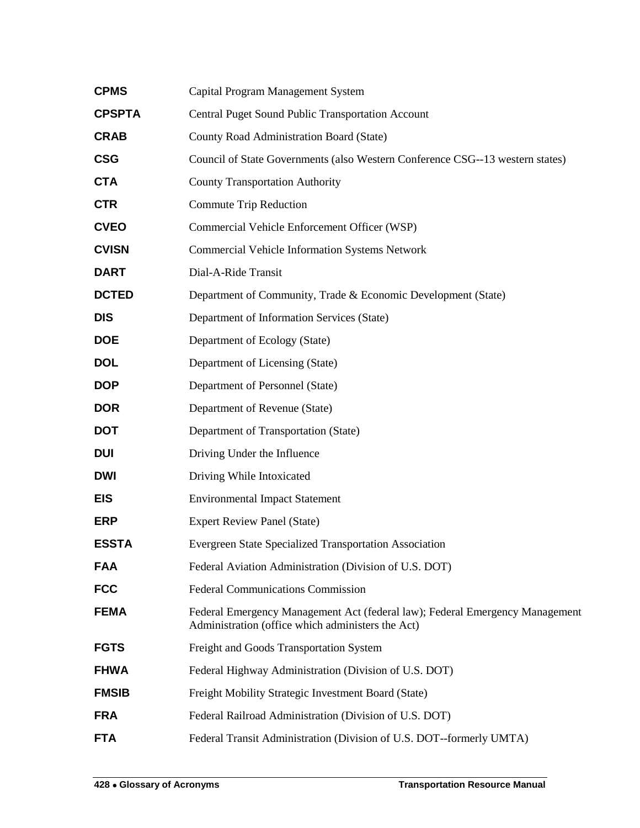| <b>CPMS</b>   | Capital Program Management System                                                                                                 |
|---------------|-----------------------------------------------------------------------------------------------------------------------------------|
| <b>CPSPTA</b> | <b>Central Puget Sound Public Transportation Account</b>                                                                          |
| <b>CRAB</b>   | County Road Administration Board (State)                                                                                          |
| <b>CSG</b>    | Council of State Governments (also Western Conference CSG--13 western states)                                                     |
| <b>CTA</b>    | <b>County Transportation Authority</b>                                                                                            |
| <b>CTR</b>    | <b>Commute Trip Reduction</b>                                                                                                     |
| <b>CVEO</b>   | Commercial Vehicle Enforcement Officer (WSP)                                                                                      |
| <b>CVISN</b>  | <b>Commercial Vehicle Information Systems Network</b>                                                                             |
| <b>DART</b>   | Dial-A-Ride Transit                                                                                                               |
| <b>DCTED</b>  | Department of Community, Trade & Economic Development (State)                                                                     |
| <b>DIS</b>    | Department of Information Services (State)                                                                                        |
| <b>DOE</b>    | Department of Ecology (State)                                                                                                     |
| <b>DOL</b>    | Department of Licensing (State)                                                                                                   |
| <b>DOP</b>    | Department of Personnel (State)                                                                                                   |
| <b>DOR</b>    | Department of Revenue (State)                                                                                                     |
| <b>DOT</b>    | Department of Transportation (State)                                                                                              |
| <b>DUI</b>    | Driving Under the Influence                                                                                                       |
| <b>DWI</b>    | Driving While Intoxicated                                                                                                         |
| <b>EIS</b>    | <b>Environmental Impact Statement</b>                                                                                             |
| <b>ERP</b>    | <b>Expert Review Panel (State)</b>                                                                                                |
| <b>ESSTA</b>  | <b>Evergreen State Specialized Transportation Association</b>                                                                     |
| <b>FAA</b>    | Federal Aviation Administration (Division of U.S. DOT)                                                                            |
| <b>FCC</b>    | <b>Federal Communications Commission</b>                                                                                          |
| <b>FEMA</b>   | Federal Emergency Management Act (federal law); Federal Emergency Management<br>Administration (office which administers the Act) |
| <b>FGTS</b>   | Freight and Goods Transportation System                                                                                           |
| <b>FHWA</b>   | Federal Highway Administration (Division of U.S. DOT)                                                                             |
| <b>FMSIB</b>  | Freight Mobility Strategic Investment Board (State)                                                                               |
| <b>FRA</b>    | Federal Railroad Administration (Division of U.S. DOT)                                                                            |
| <b>FTA</b>    | Federal Transit Administration (Division of U.S. DOT--formerly UMTA)                                                              |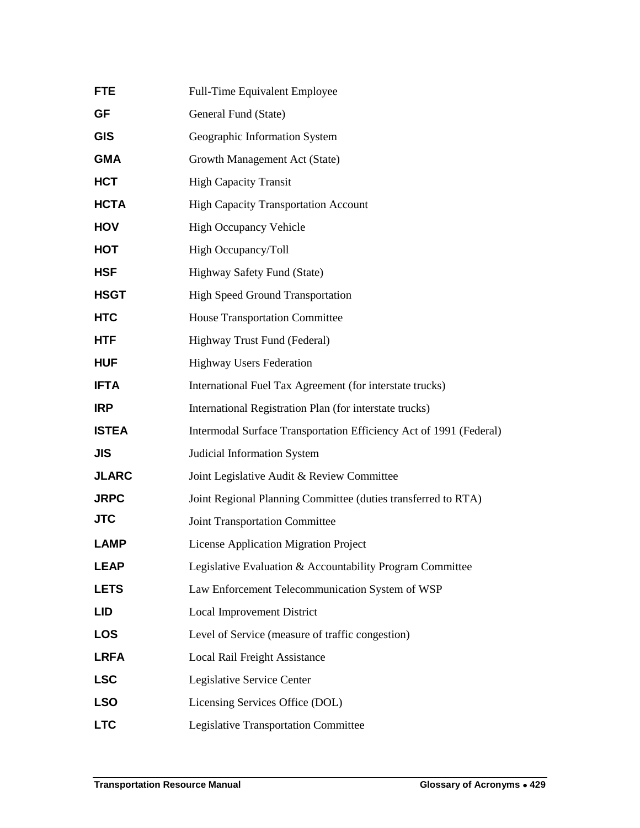| Full-Time Equivalent Employee                                      |
|--------------------------------------------------------------------|
| General Fund (State)                                               |
| Geographic Information System                                      |
| Growth Management Act (State)                                      |
| <b>High Capacity Transit</b>                                       |
| <b>High Capacity Transportation Account</b>                        |
| <b>High Occupancy Vehicle</b>                                      |
| High Occupancy/Toll                                                |
| Highway Safety Fund (State)                                        |
| <b>High Speed Ground Transportation</b>                            |
| House Transportation Committee                                     |
| Highway Trust Fund (Federal)                                       |
| <b>Highway Users Federation</b>                                    |
| International Fuel Tax Agreement (for interstate trucks)           |
| International Registration Plan (for interstate trucks)            |
| Intermodal Surface Transportation Efficiency Act of 1991 (Federal) |
| Judicial Information System                                        |
| Joint Legislative Audit & Review Committee                         |
| Joint Regional Planning Committee (duties transferred to RTA)      |
| <b>Joint Transportation Committee</b>                              |
| <b>License Application Migration Project</b>                       |
| Legislative Evaluation & Accountability Program Committee          |
| Law Enforcement Telecommunication System of WSP                    |
| Local Improvement District                                         |
| Level of Service (measure of traffic congestion)                   |
| Local Rail Freight Assistance                                      |
| Legislative Service Center                                         |
| Licensing Services Office (DOL)                                    |
| Legislative Transportation Committee                               |
|                                                                    |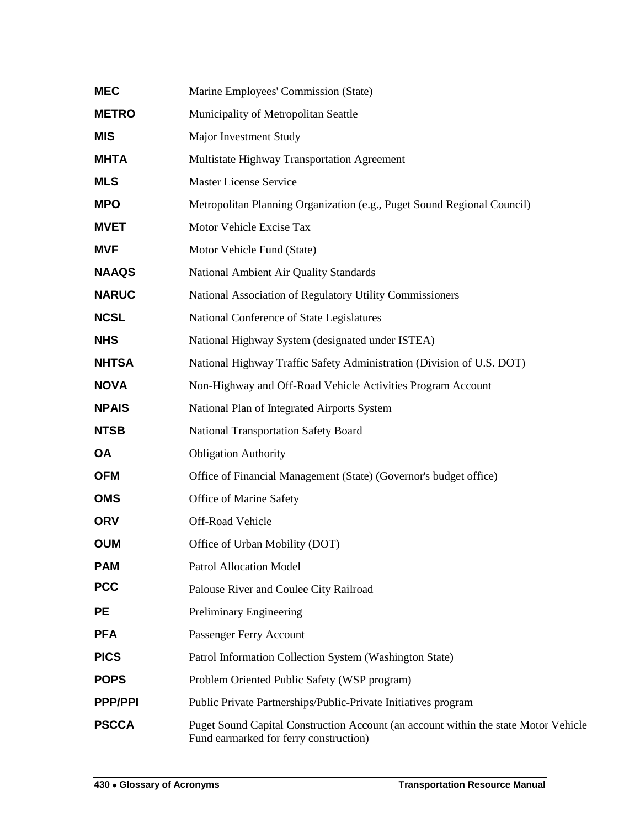| <b>MEC</b>     | Marine Employees' Commission (State)                                                                                          |
|----------------|-------------------------------------------------------------------------------------------------------------------------------|
| <b>METRO</b>   | Municipality of Metropolitan Seattle                                                                                          |
| <b>MIS</b>     | Major Investment Study                                                                                                        |
| <b>MHTA</b>    | Multistate Highway Transportation Agreement                                                                                   |
| <b>MLS</b>     | <b>Master License Service</b>                                                                                                 |
| <b>MPO</b>     | Metropolitan Planning Organization (e.g., Puget Sound Regional Council)                                                       |
| <b>MVET</b>    | Motor Vehicle Excise Tax                                                                                                      |
| <b>MVF</b>     | Motor Vehicle Fund (State)                                                                                                    |
| <b>NAAQS</b>   | National Ambient Air Quality Standards                                                                                        |
| <b>NARUC</b>   | National Association of Regulatory Utility Commissioners                                                                      |
| <b>NCSL</b>    | National Conference of State Legislatures                                                                                     |
| <b>NHS</b>     | National Highway System (designated under ISTEA)                                                                              |
| <b>NHTSA</b>   | National Highway Traffic Safety Administration (Division of U.S. DOT)                                                         |
| <b>NOVA</b>    | Non-Highway and Off-Road Vehicle Activities Program Account                                                                   |
| <b>NPAIS</b>   | National Plan of Integrated Airports System                                                                                   |
| <b>NTSB</b>    | <b>National Transportation Safety Board</b>                                                                                   |
| <b>OA</b>      | <b>Obligation Authority</b>                                                                                                   |
| <b>OFM</b>     | Office of Financial Management (State) (Governor's budget office)                                                             |
| <b>OMS</b>     | Office of Marine Safety                                                                                                       |
| <b>ORV</b>     | Off-Road Vehicle                                                                                                              |
| <b>OUM</b>     | Office of Urban Mobility (DOT)                                                                                                |
| <b>PAM</b>     | <b>Patrol Allocation Model</b>                                                                                                |
| <b>PCC</b>     | Palouse River and Coulee City Railroad                                                                                        |
| <b>PE</b>      | Preliminary Engineering                                                                                                       |
| <b>PFA</b>     | Passenger Ferry Account                                                                                                       |
| <b>PICS</b>    | Patrol Information Collection System (Washington State)                                                                       |
| <b>POPS</b>    | Problem Oriented Public Safety (WSP program)                                                                                  |
| <b>PPP/PPI</b> | Public Private Partnerships/Public-Private Initiatives program                                                                |
| <b>PSCCA</b>   | Puget Sound Capital Construction Account (an account within the state Motor Vehicle<br>Fund earmarked for ferry construction) |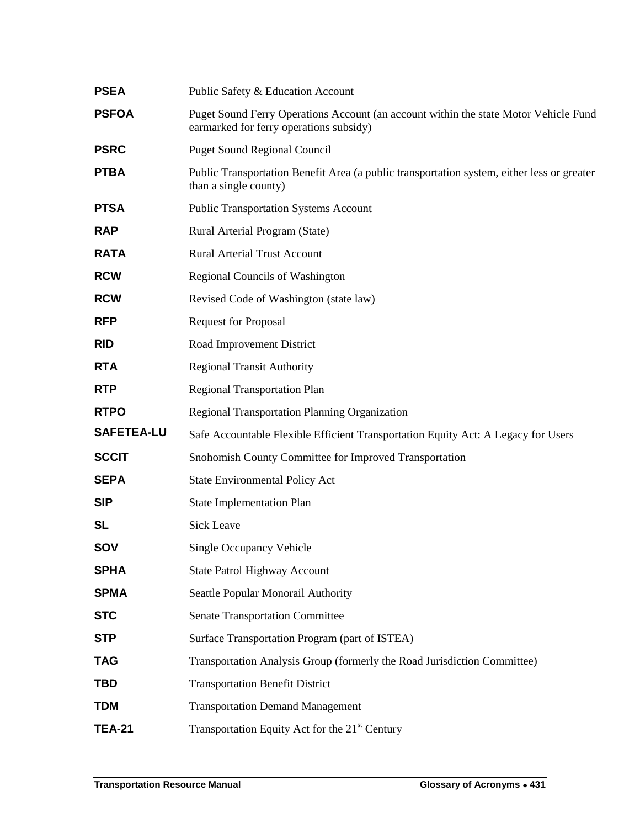| <b>PSEA</b>       | Public Safety & Education Account                                                                                               |
|-------------------|---------------------------------------------------------------------------------------------------------------------------------|
| <b>PSFOA</b>      | Puget Sound Ferry Operations Account (an account within the state Motor Vehicle Fund<br>earmarked for ferry operations subsidy) |
| <b>PSRC</b>       | <b>Puget Sound Regional Council</b>                                                                                             |
| <b>PTBA</b>       | Public Transportation Benefit Area (a public transportation system, either less or greater<br>than a single county)             |
| <b>PTSA</b>       | <b>Public Transportation Systems Account</b>                                                                                    |
| <b>RAP</b>        | Rural Arterial Program (State)                                                                                                  |
| <b>RATA</b>       | <b>Rural Arterial Trust Account</b>                                                                                             |
| <b>RCW</b>        | <b>Regional Councils of Washington</b>                                                                                          |
| <b>RCW</b>        | Revised Code of Washington (state law)                                                                                          |
| <b>RFP</b>        | <b>Request for Proposal</b>                                                                                                     |
| <b>RID</b>        | Road Improvement District                                                                                                       |
| <b>RTA</b>        | <b>Regional Transit Authority</b>                                                                                               |
| <b>RTP</b>        | <b>Regional Transportation Plan</b>                                                                                             |
| <b>RTPO</b>       | Regional Transportation Planning Organization                                                                                   |
| <b>SAFETEA-LU</b> | Safe Accountable Flexible Efficient Transportation Equity Act: A Legacy for Users                                               |
| <b>SCCIT</b>      | Snohomish County Committee for Improved Transportation                                                                          |
| <b>SEPA</b>       | <b>State Environmental Policy Act</b>                                                                                           |
| <b>SIP</b>        | <b>State Implementation Plan</b>                                                                                                |
| <b>SL</b>         | Sick Leave                                                                                                                      |
| <b>SOV</b>        | Single Occupancy Vehicle                                                                                                        |
| <b>SPHA</b>       | <b>State Patrol Highway Account</b>                                                                                             |
| <b>SPMA</b>       | Seattle Popular Monorail Authority                                                                                              |
| <b>STC</b>        | <b>Senate Transportation Committee</b>                                                                                          |
| <b>STP</b>        | Surface Transportation Program (part of ISTEA)                                                                                  |
| <b>TAG</b>        | Transportation Analysis Group (formerly the Road Jurisdiction Committee)                                                        |
| <b>TBD</b>        | <b>Transportation Benefit District</b>                                                                                          |
| <b>TDM</b>        | <b>Transportation Demand Management</b>                                                                                         |
| <b>TEA-21</b>     | Transportation Equity Act for the 21 <sup>st</sup> Century                                                                      |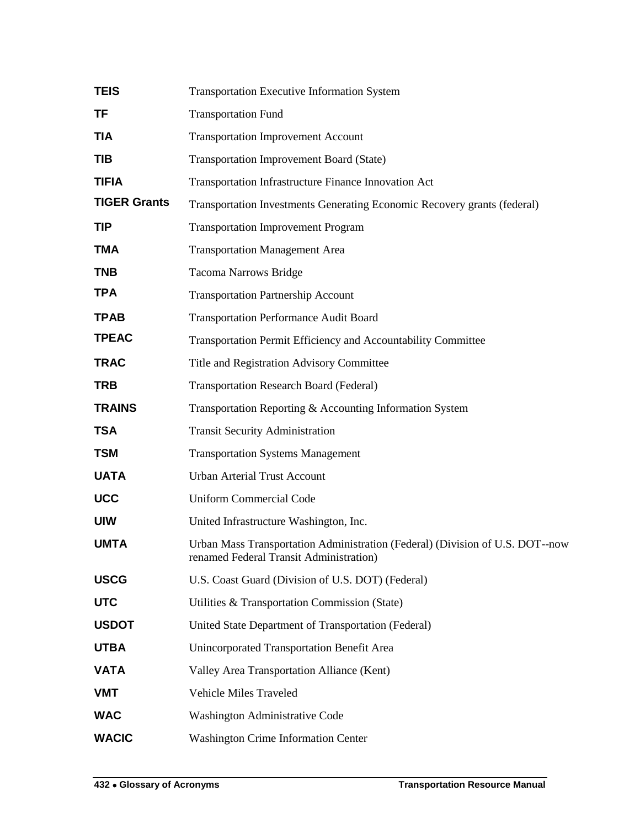| <b>TEIS</b>         | Transportation Executive Information System                                                                              |
|---------------------|--------------------------------------------------------------------------------------------------------------------------|
| TF                  | <b>Transportation Fund</b>                                                                                               |
| <b>TIA</b>          | <b>Transportation Improvement Account</b>                                                                                |
| TIB                 | <b>Transportation Improvement Board (State)</b>                                                                          |
| <b>TIFIA</b>        | Transportation Infrastructure Finance Innovation Act                                                                     |
| <b>TIGER Grants</b> | Transportation Investments Generating Economic Recovery grants (federal)                                                 |
| <b>TIP</b>          | <b>Transportation Improvement Program</b>                                                                                |
| <b>TMA</b>          | <b>Transportation Management Area</b>                                                                                    |
| <b>TNB</b>          | <b>Tacoma Narrows Bridge</b>                                                                                             |
| <b>TPA</b>          | <b>Transportation Partnership Account</b>                                                                                |
| <b>TPAB</b>         | <b>Transportation Performance Audit Board</b>                                                                            |
| <b>TPEAC</b>        | Transportation Permit Efficiency and Accountability Committee                                                            |
| <b>TRAC</b>         | Title and Registration Advisory Committee                                                                                |
| <b>TRB</b>          | <b>Transportation Research Board (Federal)</b>                                                                           |
| <b>TRAINS</b>       | Transportation Reporting & Accounting Information System                                                                 |
| <b>TSA</b>          | <b>Transit Security Administration</b>                                                                                   |
| <b>TSM</b>          | <b>Transportation Systems Management</b>                                                                                 |
| <b>UATA</b>         | <b>Urban Arterial Trust Account</b>                                                                                      |
| <b>UCC</b>          | <b>Uniform Commercial Code</b>                                                                                           |
| <b>UIW</b>          | United Infrastructure Washington, Inc.                                                                                   |
| <b>UMTA</b>         | Urban Mass Transportation Administration (Federal) (Division of U.S. DOT--now<br>renamed Federal Transit Administration) |
| <b>USCG</b>         | U.S. Coast Guard (Division of U.S. DOT) (Federal)                                                                        |
| <b>UTC</b>          | Utilities & Transportation Commission (State)                                                                            |
| <b>USDOT</b>        | United State Department of Transportation (Federal)                                                                      |
| <b>UTBA</b>         | Unincorporated Transportation Benefit Area                                                                               |
| <b>VATA</b>         | Valley Area Transportation Alliance (Kent)                                                                               |
| <b>VMT</b>          | Vehicle Miles Traveled                                                                                                   |
| <b>WAC</b>          | Washington Administrative Code                                                                                           |
| <b>WACIC</b>        | <b>Washington Crime Information Center</b>                                                                               |
|                     |                                                                                                                          |